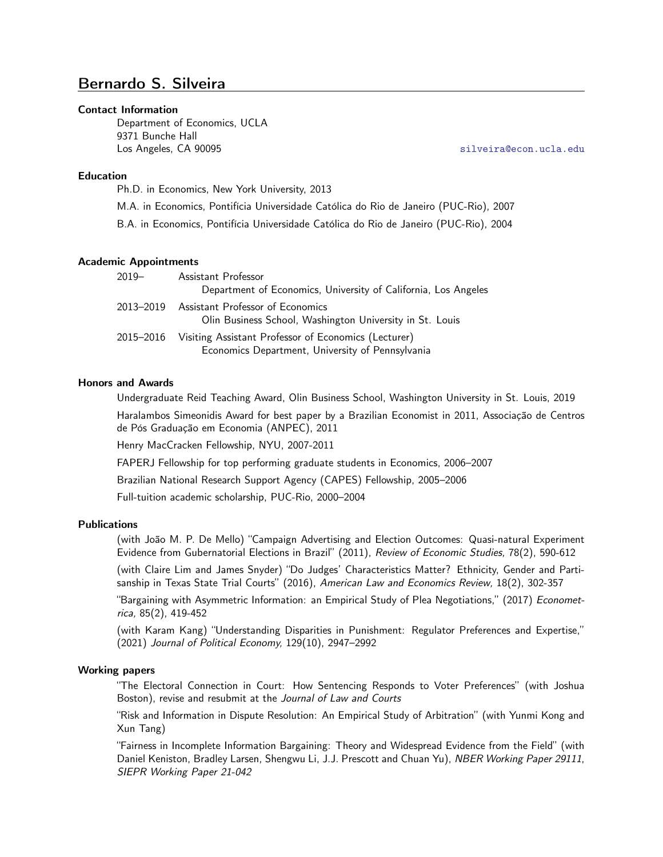# Bernardo S. Silveira

#### Contact Information

Department of Economics, UCLA 9371 Bunche Hall Los Angeles, CA 90095 [silveira@econ.ucla.edu](mailto:silveira@econ.ucla.edu)

## Education

Ph.D. in Economics, New York University, 2013

M.A. in Economics, Pontifícia Universidade Católica do Rio de Janeiro (PUC-Rio), 2007

B.A. in Economics, Pontifícia Universidade Católica do Rio de Janeiro (PUC-Rio), 2004

#### Academic Appointments

| $2019 -$  | Assistant Professor<br>Department of Economics, University of California, Los Angeles                    |
|-----------|----------------------------------------------------------------------------------------------------------|
| 2013-2019 | Assistant Professor of Economics<br>Olin Business School, Washington University in St. Louis             |
| 2015–2016 | Visiting Assistant Professor of Economics (Lecturer)<br>Economics Department, University of Pennsylvania |

#### Honors and Awards

Undergraduate Reid Teaching Award, Olin Business School, Washington University in St. Louis, 2019

Haralambos Simeonidis Award for best paper by a Brazilian Economist in 2011, Associação de Centros de Pós Graduação em Economia (ANPEC), 2011

Henry MacCracken Fellowship, NYU, 2007-2011

FAPERJ Fellowship for top performing graduate students in Economics, 2006–2007

Brazilian National Research Support Agency (CAPES) Fellowship, 2005–2006

Full-tuition academic scholarship, PUC-Rio, 2000–2004

### Publications

(with João M. P. De Mello) "Campaign Advertising and Election Outcomes: Quasi-natural Experiment Evidence from Gubernatorial Elections in Brazil" (2011), Review of Economic Studies, 78(2), 590-612

(with Claire Lim and James Snyder) "Do Judges' Characteristics Matter? Ethnicity, Gender and Partisanship in Texas State Trial Courts" (2016), American Law and Economics Review, 18(2), 302-357

"Bargaining with Asymmetric Information: an Empirical Study of Plea Negotiations," (2017) Econometrica, 85(2), 419-452

(with Karam Kang) "Understanding Disparities in Punishment: Regulator Preferences and Expertise," (2021) Journal of Political Economy, 129(10), 2947–2992

### Working papers

"The Electoral Connection in Court: How Sentencing Responds to Voter Preferences" (with Joshua Boston), revise and resubmit at the Journal of Law and Courts

"Risk and Information in Dispute Resolution: An Empirical Study of Arbitration" (with Yunmi Kong and Xun Tang)

"Fairness in Incomplete Information Bargaining: Theory and Widespread Evidence from the Field" (with Daniel Keniston, Bradley Larsen, Shengwu Li, J.J. Prescott and Chuan Yu), NBER Working Paper 29111, SIEPR Working Paper 21-042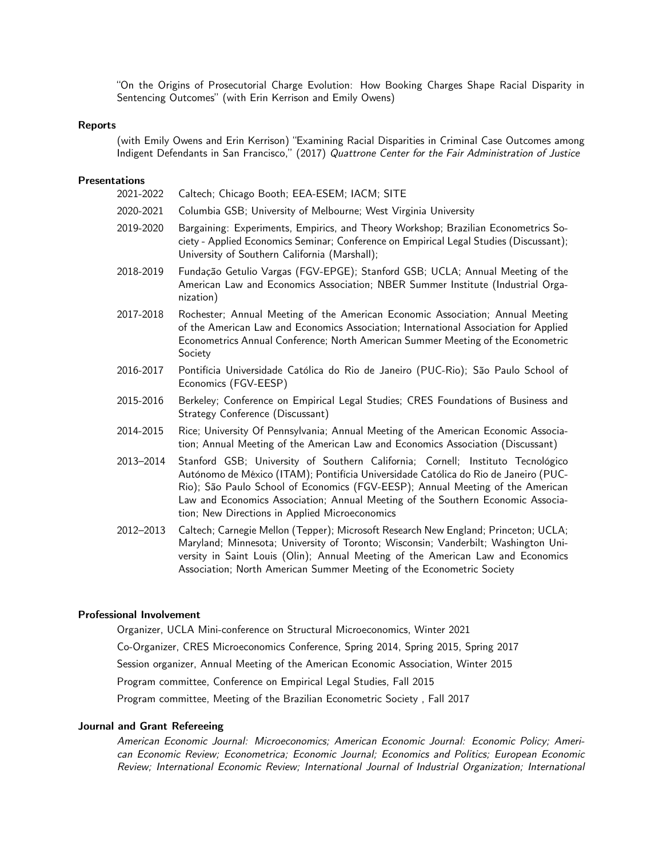"On the Origins of Prosecutorial Charge Evolution: How Booking Charges Shape Racial Disparity in Sentencing Outcomes" (with Erin Kerrison and Emily Owens)

### Reports

(with Emily Owens and Erin Kerrison) "Examining Racial Disparities in Criminal Case Outcomes among Indigent Defendants in San Francisco," (2017) Quattrone Center for the Fair Administration of Justice

### Presentations

| 2021-2022 | Caltech; Chicago Booth; EEA-ESEM; IACM; SITE                                                                                                                                                                                                                                                                                                |
|-----------|---------------------------------------------------------------------------------------------------------------------------------------------------------------------------------------------------------------------------------------------------------------------------------------------------------------------------------------------|
| 2020-2021 | Columbia GSB; University of Melbourne; West Virginia University                                                                                                                                                                                                                                                                             |
| 2019-2020 | Bargaining: Experiments, Empirics, and Theory Workshop; Brazilian Econometrics So-<br>ciety - Applied Economics Seminar; Conference on Empirical Legal Studies (Discussant);<br>University of Southern California (Marshall);                                                                                                               |
| 2018-2019 | Fundação Getulio Vargas (FGV-EPGE); Stanford GSB; UCLA; Annual Meeting of the<br>American Law and Economics Association; NBER Summer Institute (Industrial Orga-<br>nization)                                                                                                                                                               |
| 2017-2018 | Rochester; Annual Meeting of the American Economic Association; Annual Meeting<br>of the American Law and Economics Association; International Association for Applied<br>Econometrics Annual Conference; North American Summer Meeting of the Econometric<br>Society                                                                       |
| 2016-2017 | Pontifícia Universidade Católica do Rio de Janeiro (PUC-Rio); São Paulo School of<br>Economics (FGV-EESP)                                                                                                                                                                                                                                   |
| 2015-2016 | Berkeley; Conference on Empirical Legal Studies; CRES Foundations of Business and<br>Strategy Conference (Discussant)                                                                                                                                                                                                                       |
| 2014-2015 | Rice; University Of Pennsylvania; Annual Meeting of the American Economic Associa-<br>tion; Annual Meeting of the American Law and Economics Association (Discussant)                                                                                                                                                                       |
| 2013–2014 | Stanford GSB; University of Southern California; Cornell; Instituto Tecnológico<br>Autónomo de México (ITAM); Pontifícia Universidade Católica do Rio de Janeiro (PUC-<br>Rio); São Paulo School of Economics (FGV-EESP); Annual Meeting of the American<br>Law and Economics Association; Annual Meeting of the Southern Economic Associa- |

2012–2013 Caltech; Carnegie Mellon (Tepper); Microsoft Research New England; Princeton; UCLA; Maryland; Minnesota; University of Toronto; Wisconsin; Vanderbilt; Washington University in Saint Louis (Olin); Annual Meeting of the American Law and Economics Association; North American Summer Meeting of the Econometric Society

#### Professional Involvement

Organizer, UCLA Mini-conference on Structural Microeconomics, Winter 2021

tion; New Directions in Applied Microeconomics

Co-Organizer, CRES Microeconomics Conference, Spring 2014, Spring 2015, Spring 2017 Session organizer, Annual Meeting of the American Economic Association, Winter 2015 Program committee, Conference on Empirical Legal Studies, Fall 2015 Program committee, Meeting of the Brazilian Econometric Society , Fall 2017

## Journal and Grant Refereeing

American Economic Journal: Microeconomics; American Economic Journal: Economic Policy; American Economic Review; Econometrica; Economic Journal; Economics and Politics; European Economic Review; International Economic Review; International Journal of Industrial Organization; International